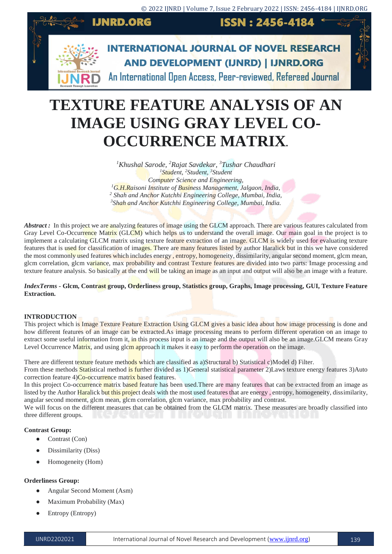

# **TEXTURE FEATURE ANALYSIS OF AN IMAGE USING GRAY LEVEL CO-OCCURRENCE MATRIX***.*

*Khushal Sarode, <sup>2</sup>Rajat Savdekar, <sup>3</sup>Tushar Chaudhari Student, <sup>2</sup>Student, <sup>3</sup>Student Computer Science and Engineering, G.H.Raisoni Institute of Business Management, Jalgaon, India, Shah and Anchor Kutchhi Engineering College, Mumbai, India, Shah and Anchor Kutchhi Engineering College, Mumbai, India.*

Abstract : In this project we are analyzing features of image using the GLCM approach. There are various features calculated from Gray Level Co-Occurrence Matrix (GLCM) which helps us to understand the overall image. Our main goal in the project is to implement a calculating GLCM matrix using texture feature extraction of an image. GLCM is widely used for evaluating texture features that is used for classification of images. There are many features listed by author Haralick but in this we have considered the most commonly used features which includes energy, entropy, homogeneity, dissimilarity, angular second moment, glcm mean, glcm correlation, glcm variance, max probability and contrast Texture features are divided into two parts: Image processing and texture feature analysis. So basically at the end will be taking an image as an input and output will also be an image with a feature.

## *IndexTerms* **- Glcm, Contrast group, Orderliness group, Statistics group, Graphs, Image processing, GUI, Texture Feature Extraction.**

## **INTRODUCTION**

This project which is Image Texture Feature Extraction Using GLCM gives a basic idea about how image processing is done and how different features of an image can be extracted.As image processing means to perform different operation on an image to extract some useful information from it, in this process input is an image and the output will also be an image.GLCM means Gray Level Occurrence Matrix, and using glcm approach it makes it easy to perform the operation on the image.

There are different texture feature methods which are classified as a)Structural b) Statistical c)Model d) Filter.

From these methods Statistical method is further divided as 1)General statistical parameter 2)Laws texture energy features 3)Auto correction feature 4)Co-occurrence matrix based features.

In this project Co-occurrence matrix based feature has been used. There are many features that can be extracted from an image as listed by the Author Haralick but this project deals with the most used features that are energy, entropy, homogeneity, dissimilarity, angular second moment, glcm mean, glcm correlation, glcm variance, max probability and contrast.

We will focus on the different measures that can be obtained from the GLCM matrix. These measures are broadly classified into three different groups.

## **Contrast Group:**

- Contrast (Con)
- Dissimilarity (Diss)
- Homogeneity (Hom)

## **Orderliness Group:**

- Angular Second Moment (Asm)
- Maximum Probability (Max)
- Entropy (Entropy)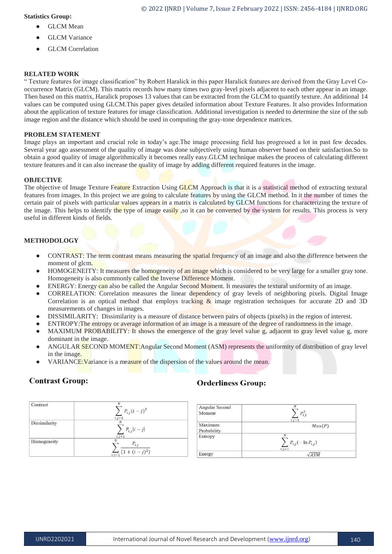## **Statistics Group:**

- **GLCM** Mean
- **GLCM** Variance
- GLCM Correlation

# **RELATED WORK**

" Texture features for image classification" by Robert Haralick in this paper Haralick features are derived from the Gray Level Cooccurrence Matrix (GLCM). This matrix records how many times two gray-level pixels adjacent to each other appear in an image. Then based on this matrix, Haralick proposes 13 values that can be extracted from the GLCM to quantify texture. An additional 14 values can be computed using GLCM.This paper gives detailed information about Texture Features. It also provides Information about the application of texture features for image classification. Additional investigation is needed to determine the size of the sub image region and the distance which should be used in computing the gray-tone dependence matrices.

# **PROBLEM STATEMENT**

Image plays an important and crucial role in today's age.The image processing field has progressed a lot in past few decades. Several year ago assessment of the quality of image was done subjectively using human observer based on their satisfaction.So to obtain a good quality of image algorithmically it becomes really easy.GLCM technique makes the process of calculating different texture features and it can also increase the quality of image by adding different required features in the image.

# **OBJECTIVE**

The objective of Image Texture Feature Extraction Using GLCM Approach is that it is a statistical method of extracting textural features from images. In this project we are going to calculate features by using the GLCM method. In it the number of times the certain pair of pixels with particular values appears in a matrix is calculated by GLCM functions for characterizing the texture of the image. This helps to identify the type of image easily, so it can be converted by the system for results. This process is very useful in different kinds of fields.

# **METHODOLOGY**

- CONTRAST: The term contrast means measuring the spatial frequency of an image and also the difference between the moment of glcm.
- HOMOGENEITY: It measures the homogeneity of an image which is considered to be very large for a smaller gray tone. Homogeneity is also commonly called the Inverse Difference Moment.
- ENERGY: Energy can also be called the Angular Second Moment. It measures the textural uniformity of an image.
- CORRELATION: Correlation measures the linear dependency of gray levels of neighboring pixels. Digital Image Correlation is an optical method that employs tracking & image registration techniques for accurate 2D and 3D measurements of changes in images.
- DISSIMILARITY: Dissimilarity is a measure of distance between pairs of objects (pixels) in the region of interest.
- ENTROPY: The entropy or average information of an image is a measure of the degree of randomness in the image.
- MAXIMUM PROBABILITY: It shows the emergence of the gray level value g, adjacent to gray level value g, more dominant in the image.
- ANGULAR SECOND MOMENT: Angular Second Moment (ASM) represents the uniformity of distribution of gray level in the image.
- VARIANCE: Variance is a measure of the dispersion of the values around the mean.

# **Contrast Group:**

# **Orderliness Group:**



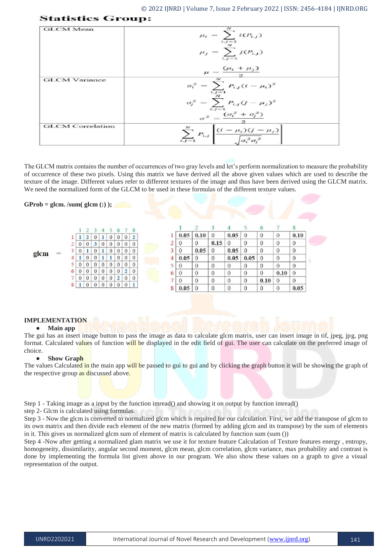| <b>GLCM</b> Mean        | $\mu_i = \sum_i i(P_{i,j})$<br>$\mu_j = \sum_{i,j=1}^{\infty} j(P_{i,j})$                             |
|-------------------------|-------------------------------------------------------------------------------------------------------|
|                         | $\mu = \frac{(\mu_i + \mu_j)}{2}$                                                                     |
| <b>GLCM</b> Variance    | $\sigma_i^2 = \sum_{i,j=1}^{\alpha} P_{i,j} (i-\mu_i)^2$                                              |
|                         | $\sigma_j^2 = \sum_{i,j=1}^N P_{i,j} (j - \mu_j)^2$                                                   |
|                         | $\sigma^2 = \frac{(\sigma_i^2 + \sigma_j^2)}{2}$                                                      |
| <b>GLCM</b> Correlation | $\sum_{i,j=1}^{N} P_{i,j} \left  \frac{(i - \mu_i)(j - \mu_j)}{\sqrt{\sigma_i^2 \sigma_j^2}} \right $ |

The GLCM matrix contains the number of occurrences of two gray levels and let's perform normalization to measure the probability of occurrence of these two pixels. Using this matrix we have derived all the above given values which are used to describe the texture of the image. Different values refer to different textures of the image and thus have been derived using the GLCM matrix. We need the normalized form of the GLCM to be used in these formulas of the different texture values.

#### $GProb = glem. /sum( glem.$  (:) );

**Statistics Group:** 



## **IMPLEMENTATION**

#### ● **Main app**

The gui has an insert image button to pass the image as data to calculate glcm matrix, user can insert image in tif, jpeg, jpg, png format. Calculated values of function will be displayed in the edit field of gui. The user can calculate on the preferred image of choice.

#### ● **Show Graph**

The values Calculated in the main app will be passed to gui to gui and by clicking the graph button it will be showing the graph of the respective group as discussed above.

Step 1 - Taking image as a input by the function imread() and showing it on output by function imread()

step 2- Glcm is calculated using formulas.

Step 3 - Now the glcm is converted to normalized glcm which is required for our calculation. First, we add the transpose of glcm to its own matrix and then divide each element of the new matrix (formed by adding glcm and its transpose) by the sum of elements in it. This gives us normalized glcm sum of element of matrix is calculated by function sum (sum ())

Step 4 -Now after getting a normalized glam matrix we use it for texture feature Calculation of Texture features energy , entropy, homogeneity, dissimilarity, angular second moment, glcm mean, glcm correlation, glcm variance, max probability and contrast is done by implementing the formula list given above in our program. We also show these values on a graph to give a visual representation of the output.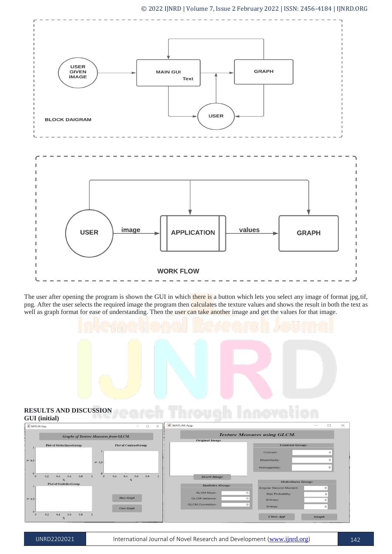#### © 2022 IJNRD | Volume 7, Issue 2 February 2022 | ISSN: 2456-4184 | IJNRD.ORG



The user after opening the program is shown the GUI in which there is a button which lets you select any image of format jpg,tif, png. After the user selects the required image the program then calculates the texture values and shows the result in both the text as well as graph format for ease of understanding. Then the user can take another image and get the values for that image.



#### **RESULTS AND DISCUSSION GUI (initial)**